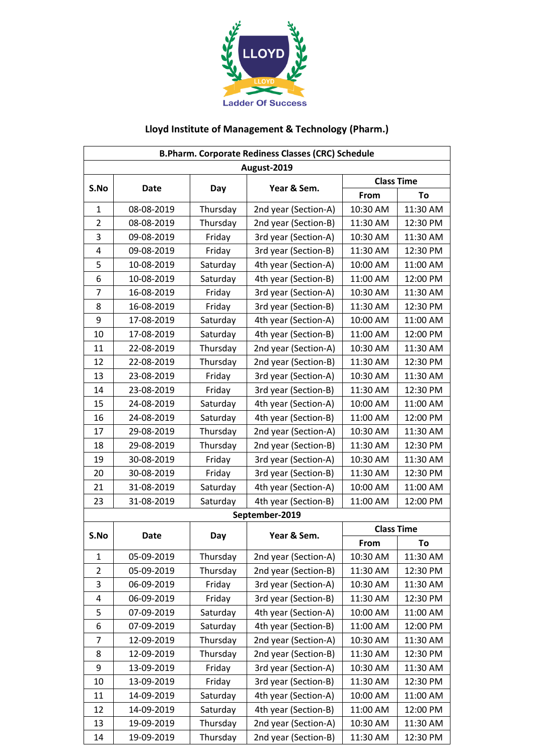

## **Lloyd Institute of Management & Technology (Pharm.)**

| <b>B.Pharm. Corporate Rediness Classes (CRC) Schedule</b> |            |          |                      |                   |          |  |  |
|-----------------------------------------------------------|------------|----------|----------------------|-------------------|----------|--|--|
| August-2019                                               |            |          |                      |                   |          |  |  |
| S.No                                                      | Date       | Day      | Year & Sem.          | <b>Class Time</b> |          |  |  |
|                                                           |            |          |                      | From              | To       |  |  |
| 1                                                         | 08-08-2019 | Thursday | 2nd year (Section-A) | 10:30 AM          | 11:30 AM |  |  |
| $\overline{2}$                                            | 08-08-2019 | Thursday | 2nd year (Section-B) | 11:30 AM          | 12:30 PM |  |  |
| 3                                                         | 09-08-2019 | Friday   | 3rd year (Section-A) | 10:30 AM          | 11:30 AM |  |  |
| 4                                                         | 09-08-2019 | Friday   | 3rd year (Section-B) | 11:30 AM          | 12:30 PM |  |  |
| 5                                                         | 10-08-2019 | Saturday | 4th year (Section-A) | 10:00 AM          | 11:00 AM |  |  |
| 6                                                         | 10-08-2019 | Saturday | 4th year (Section-B) | 11:00 AM          | 12:00 PM |  |  |
| $\overline{7}$                                            | 16-08-2019 | Friday   | 3rd year (Section-A) | 10:30 AM          | 11:30 AM |  |  |
| 8                                                         | 16-08-2019 | Friday   | 3rd year (Section-B) | 11:30 AM          | 12:30 PM |  |  |
| 9                                                         | 17-08-2019 | Saturday | 4th year (Section-A) | 10:00 AM          | 11:00 AM |  |  |
| 10                                                        | 17-08-2019 | Saturday | 4th year (Section-B) | 11:00 AM          | 12:00 PM |  |  |
| 11                                                        | 22-08-2019 | Thursday | 2nd year (Section-A) | 10:30 AM          | 11:30 AM |  |  |
| 12                                                        | 22-08-2019 | Thursday | 2nd year (Section-B) | 11:30 AM          | 12:30 PM |  |  |
| 13                                                        | 23-08-2019 | Friday   | 3rd year (Section-A) | 10:30 AM          | 11:30 AM |  |  |
| 14                                                        | 23-08-2019 | Friday   | 3rd year (Section-B) | 11:30 AM          | 12:30 PM |  |  |
| 15                                                        | 24-08-2019 | Saturday | 4th year (Section-A) | 10:00 AM          | 11:00 AM |  |  |
| 16                                                        | 24-08-2019 | Saturday | 4th year (Section-B) | 11:00 AM          | 12:00 PM |  |  |
| 17                                                        | 29-08-2019 | Thursday | 2nd year (Section-A) | 10:30 AM          | 11:30 AM |  |  |
| 18                                                        | 29-08-2019 | Thursday | 2nd year (Section-B) | 11:30 AM          | 12:30 PM |  |  |
| 19                                                        | 30-08-2019 | Friday   | 3rd year (Section-A) | 10:30 AM          | 11:30 AM |  |  |
| 20                                                        | 30-08-2019 | Friday   | 3rd year (Section-B) | 11:30 AM          | 12:30 PM |  |  |
| 21                                                        | 31-08-2019 | Saturday | 4th year (Section-A) | 10:00 AM          | 11:00 AM |  |  |
| 23                                                        | 31-08-2019 | Saturday | 4th year (Section-B) | 11:00 AM          | 12:00 PM |  |  |
|                                                           |            |          | September-2019       |                   |          |  |  |
| S.No                                                      | Date       | Day      | Year & Sem.          | <b>Class Time</b> |          |  |  |
|                                                           |            |          |                      | From              | To       |  |  |
| $\mathbf{1}$                                              | 05-09-2019 | Thursday | 2nd year (Section-A) | 10:30 AM          | 11:30 AM |  |  |
| 2                                                         | 05-09-2019 | Thursday | 2nd year (Section-B) | 11:30 AM          | 12:30 PM |  |  |
| 3                                                         | 06-09-2019 | Friday   | 3rd year (Section-A) | 10:30 AM          | 11:30 AM |  |  |
| 4                                                         | 06-09-2019 | Friday   | 3rd year (Section-B) | 11:30 AM          | 12:30 PM |  |  |
| 5                                                         | 07-09-2019 | Saturday | 4th year (Section-A) | 10:00 AM          | 11:00 AM |  |  |
| 6                                                         | 07-09-2019 | Saturday | 4th year (Section-B) | 11:00 AM          | 12:00 PM |  |  |
| 7                                                         | 12-09-2019 | Thursday | 2nd year (Section-A) | 10:30 AM          | 11:30 AM |  |  |
| 8                                                         | 12-09-2019 | Thursday | 2nd year (Section-B) | 11:30 AM          | 12:30 PM |  |  |
| 9                                                         | 13-09-2019 | Friday   | 3rd year (Section-A) | 10:30 AM          | 11:30 AM |  |  |
| 10                                                        | 13-09-2019 | Friday   | 3rd year (Section-B) | 11:30 AM          | 12:30 PM |  |  |
| 11                                                        | 14-09-2019 | Saturday | 4th year (Section-A) | 10:00 AM          | 11:00 AM |  |  |
| 12                                                        | 14-09-2019 | Saturday | 4th year (Section-B) | 11:00 AM          | 12:00 PM |  |  |
| 13                                                        | 19-09-2019 | Thursday | 2nd year (Section-A) | 10:30 AM          | 11:30 AM |  |  |
| 14                                                        | 19-09-2019 | Thursday | 2nd year (Section-B) | 11:30 AM          | 12:30 PM |  |  |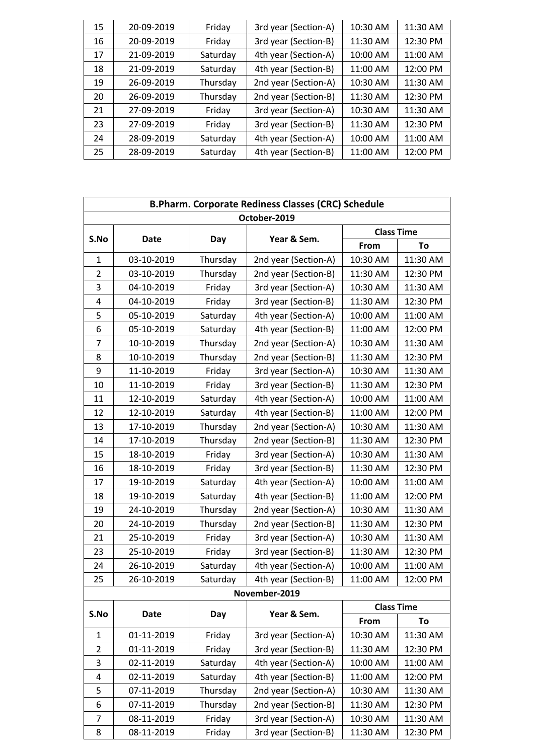| 15 | 20-09-2019 | Friday   | 3rd year (Section-A) | 10:30 AM | 11:30 AM |
|----|------------|----------|----------------------|----------|----------|
| 16 | 20-09-2019 | Friday   | 3rd year (Section-B) | 11:30 AM | 12:30 PM |
| 17 | 21-09-2019 | Saturday | 4th year (Section-A) | 10:00 AM | 11:00 AM |
| 18 | 21-09-2019 | Saturday | 4th year (Section-B) | 11:00 AM | 12:00 PM |
| 19 | 26-09-2019 | Thursday | 2nd year (Section-A) | 10:30 AM | 11:30 AM |
| 20 | 26-09-2019 | Thursday | 2nd year (Section-B) | 11:30 AM | 12:30 PM |
| 21 | 27-09-2019 | Friday   | 3rd year (Section-A) | 10:30 AM | 11:30 AM |
| 23 | 27-09-2019 | Friday   | 3rd year (Section-B) | 11:30 AM | 12:30 PM |
| 24 | 28-09-2019 | Saturday | 4th year (Section-A) | 10:00 AM | 11:00 AM |
| 25 | 28-09-2019 | Saturday | 4th year (Section-B) | 11:00 AM | 12:00 PM |

| <b>B.Pharm. Corporate Rediness Classes (CRC) Schedule</b> |             |          |                      |                   |          |  |  |
|-----------------------------------------------------------|-------------|----------|----------------------|-------------------|----------|--|--|
|                                                           |             |          | October-2019         |                   |          |  |  |
| S.No                                                      | <b>Date</b> | Day      | Year & Sem.          | <b>Class Time</b> |          |  |  |
|                                                           |             |          |                      | From              | To       |  |  |
| $\mathbf{1}$                                              | 03-10-2019  | Thursday | 2nd year (Section-A) | 10:30 AM          | 11:30 AM |  |  |
| $\overline{2}$                                            | 03-10-2019  | Thursday | 2nd year (Section-B) | 11:30 AM          | 12:30 PM |  |  |
| 3                                                         | 04-10-2019  | Friday   | 3rd year (Section-A) | 10:30 AM          | 11:30 AM |  |  |
| 4                                                         | 04-10-2019  | Friday   | 3rd year (Section-B) | 11:30 AM          | 12:30 PM |  |  |
| 5                                                         | 05-10-2019  | Saturday | 4th year (Section-A) | 10:00 AM          | 11:00 AM |  |  |
| 6                                                         | 05-10-2019  | Saturday | 4th year (Section-B) | 11:00 AM          | 12:00 PM |  |  |
| 7                                                         | 10-10-2019  | Thursday | 2nd year (Section-A) | 10:30 AM          | 11:30 AM |  |  |
| 8                                                         | 10-10-2019  | Thursday | 2nd year (Section-B) | 11:30 AM          | 12:30 PM |  |  |
| 9                                                         | 11-10-2019  | Friday   | 3rd year (Section-A) | 10:30 AM          | 11:30 AM |  |  |
| 10                                                        | 11-10-2019  | Friday   | 3rd year (Section-B) | 11:30 AM          | 12:30 PM |  |  |
| 11                                                        | 12-10-2019  | Saturday | 4th year (Section-A) | 10:00 AM          | 11:00 AM |  |  |
| 12                                                        | 12-10-2019  | Saturday | 4th year (Section-B) | 11:00 AM          | 12:00 PM |  |  |
| 13                                                        | 17-10-2019  | Thursday | 2nd year (Section-A) | 10:30 AM          | 11:30 AM |  |  |
| 14                                                        | 17-10-2019  | Thursday | 2nd year (Section-B) | 11:30 AM          | 12:30 PM |  |  |
| 15                                                        | 18-10-2019  | Friday   | 3rd year (Section-A) | 10:30 AM          | 11:30 AM |  |  |
| 16                                                        | 18-10-2019  | Friday   | 3rd year (Section-B) | 11:30 AM          | 12:30 PM |  |  |
| 17                                                        | 19-10-2019  | Saturday | 4th year (Section-A) | 10:00 AM          | 11:00 AM |  |  |
| 18                                                        | 19-10-2019  | Saturday | 4th year (Section-B) | 11:00 AM          | 12:00 PM |  |  |
| 19                                                        | 24-10-2019  | Thursday | 2nd year (Section-A) | 10:30 AM          | 11:30 AM |  |  |
| 20                                                        | 24-10-2019  | Thursday | 2nd year (Section-B) | 11:30 AM          | 12:30 PM |  |  |
| 21                                                        | 25-10-2019  | Friday   | 3rd year (Section-A) | 10:30 AM          | 11:30 AM |  |  |
| 23                                                        | 25-10-2019  | Friday   | 3rd year (Section-B) | 11:30 AM          | 12:30 PM |  |  |
| 24                                                        | 26-10-2019  | Saturday | 4th year (Section-A) | 10:00 AM          | 11:00 AM |  |  |
| 25                                                        | 26-10-2019  | Saturday | 4th year (Section-B) | 11:00 AM          | 12:00 PM |  |  |
|                                                           |             |          | November-2019        |                   |          |  |  |
| S.No                                                      | <b>Date</b> | Day      | Year & Sem.          | <b>Class Time</b> |          |  |  |
|                                                           |             |          |                      | From              | To       |  |  |
| 1                                                         | 01-11-2019  | Friday   | 3rd year (Section-A) | 10:30 AM          | 11:30 AM |  |  |
| 2                                                         | 01-11-2019  | Friday   | 3rd year (Section-B) | 11:30 AM          | 12:30 PM |  |  |
| 3                                                         | 02-11-2019  | Saturday | 4th year (Section-A) | 10:00 AM          | 11:00 AM |  |  |
| 4                                                         | 02-11-2019  | Saturday | 4th year (Section-B) | 11:00 AM          | 12:00 PM |  |  |
| 5                                                         | 07-11-2019  | Thursday | 2nd year (Section-A) | 10:30 AM          | 11:30 AM |  |  |
| 6                                                         | 07-11-2019  | Thursday | 2nd year (Section-B) | 11:30 AM          | 12:30 PM |  |  |
| 7                                                         | 08-11-2019  | Friday   | 3rd year (Section-A) | 10:30 AM          | 11:30 AM |  |  |
| 8                                                         | 08-11-2019  | Friday   | 3rd year (Section-B) | 11:30 AM          | 12:30 PM |  |  |